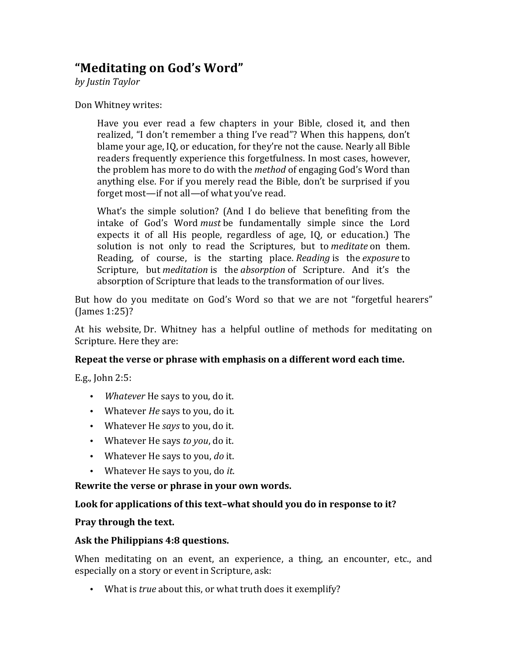# **"Meditating on God's Word"**

*by Justin Taylor*

Don Whitney writes:

Have you ever read a few chapters in your Bible, closed it, and then realized, "I don't remember a thing I've read"? When this happens, don't blame your age, IQ, or education, for they're not the cause. Nearly all Bible readers frequently experience this forgetfulness. In most cases, however, the problem has more to do with the *method* of engaging God's Word than anything else. For if you merely read the Bible, don't be surprised if you forget most—if not all—of what you've read.

What's the simple solution? (And I do believe that benefiting from the intake of God's Word *must* be fundamentally simple since the Lord expects it of all His people, regardless of age,  $IQ$ , or education.) The solution is not only to read the Scriptures, but to *meditate* on them. Reading, of course, is the starting place. *Reading* is the *exposure* to Scripture, but *meditation* is the *absorption* of Scripture. And it's the absorption of Scripture that leads to the transformation of our lives.

But how do you meditate on God's Word so that we are not "forgetful hearers"  $(James 1:25)?$ 

At his website, Dr. Whitney has a helpful outline of methods for meditating on Scripture. Here they are:

### **Repeat the verse or phrase with emphasis on a different word each time.**

E.g., John  $2:5:$ 

- *Whatever* He says to you, do it.
- Whatever *He* says to you, do it.
- Whatever He *says* to you, do it.
- Whatever He says *to you*, do it.
- Whatever He says to you, *do* it.
- Whatever He says to you, do *it*.

**Rewrite the verse or phrase in your own words.** 

### Look for applications of this text-what should you do in response to it?

### **Pray through the text.**

### **Ask the Philippians 4:8 questions.**

When meditating on an event, an experience, a thing, an encounter, etc., and especially on a story or event in Scripture, ask:

• What is *true* about this, or what truth does it exemplify?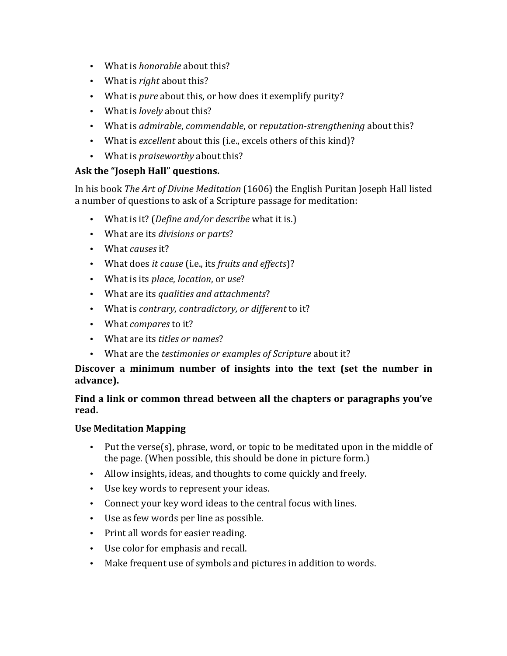- What is *honorable* about this?
- What is *right* about this?
- What is *pure* about this, or how does it exemplify purity?
- What is *lovely* about this?
- What is *admirable*, *commendable*, or *reputation-strengthening* about this?
- What is *excellent* about this (i.e., excels others of this kind)?
- What is *praiseworthy* about this?

# Ask the "Joseph Hall" questions.

In his book *The Art of Divine Meditation* (1606) the English Puritan Joseph Hall listed a number of questions to ask of a Scripture passage for meditation:

- What is it? (*Define and/or describe* what it is.)
- What are its *divisions or parts*?
- What *causes* it?
- What does *it cause* (i.e., its *fruits and effects*)?
- What is its *place*, *location*, or *use*?
- What are its *qualities and attachments*?
- What is *contrary, contradictory, or different* to it?
- What *compares* to it?
- What are its *titles or names*?
- What are the *testimonies or examples of Scripture* about it?

## Discover a minimum number of insights into the text (set the number in **advance).**

## Find a link or common thread between all the chapters or paragraphs you've **read.**

## **Use Meditation Mapping**

- Put the verse(s), phrase, word, or topic to be meditated upon in the middle of the page. (When possible, this should be done in picture form.)
- Allow insights, ideas, and thoughts to come quickly and freely.
- Use key words to represent your ideas.
- Connect your key word ideas to the central focus with lines.
- Use as few words per line as possible.
- Print all words for easier reading.
- Use color for emphasis and recall.
- Make frequent use of symbols and pictures in addition to words.